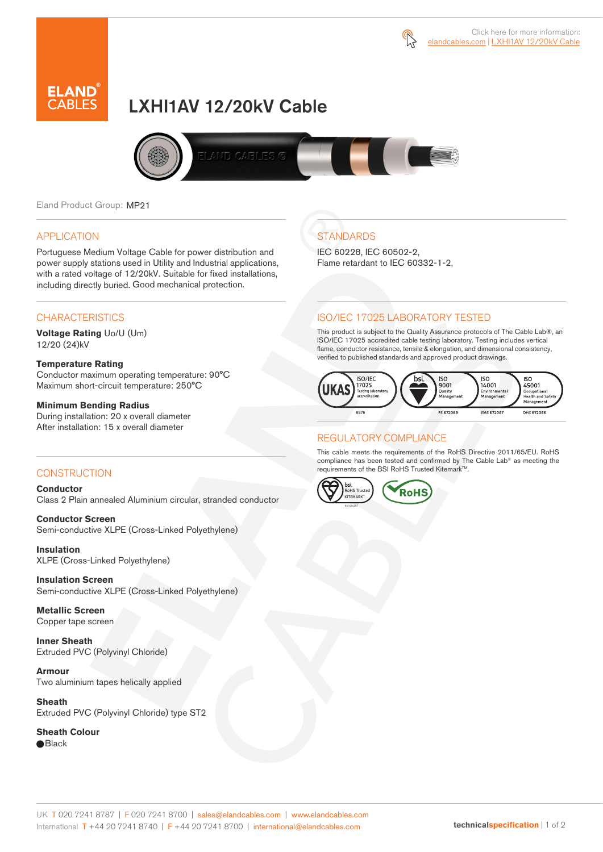



# LXHI1AV 12/20kV Cable



Eland Product Group: MP21

#### APPLICATION

Portuguese Medium Voltage Cable for power distribution and power supply stations used in Utility and Industrial applications, with a rated voltage of 12/20kV. Suitable for fixed installations, including directly buried. Good mechanical protection.

## **CHARACTERISTICS**

**Voltage Rating** Uo/U (Um) 12/20 (24)kV

#### **Temperature Rating**

Conductor maximum operating temperature: 90°C Maximum short-circuit temperature: 250°C

#### **Minimum Bending Radius**

During installation: 20 x overall diameter After installation: 15 x overall diameter

# **STANDARDS**

IEC 60228, IEC 60502-2, Flame retardant to IEC 60332-1-2,

# ISO/IEC 17025 LABORATORY TESTED

This product is subject to the Quality Assurance protocols of The Cable Lab®, an ISO/IEC 17025 accredited cable testing laboratory. Testing includes vertical flame, conductor resistance, tensile & elongation, and dimensional consistency, verified to published standards and approved product drawings.



## REGULATORY COMPLIANCE

This cable meets the requirements of the RoHS Directive 2011/65/EU. RoHS compliance has been tested and confirmed by The Cable Lab® as meeting the requirements of the BSI RoHS Trusted Kitemark™.



## CONSTRUCTION

**Conductor**  Class 2 Plain annealed Aluminium circular, stranded conductor

**Conductor Screen** Semi-conductive XLPE (Cross-Linked Polyethylene)

**Insulation** XLPE (Cross-Linked Polyethylene)

**Insulation Screen** Semi-conductive XLPE (Cross-Linked Polyethylene)

**Metallic Screen**  Copper tape screen

**Inner Sheath** Extruded PVC (Polyvinyl Chloride)

**Armour** Two aluminium tapes helically applied

**Sheath** Extruded PVC (Polyvinyl Chloride) type ST2

**Sheath Colour**  ● Black